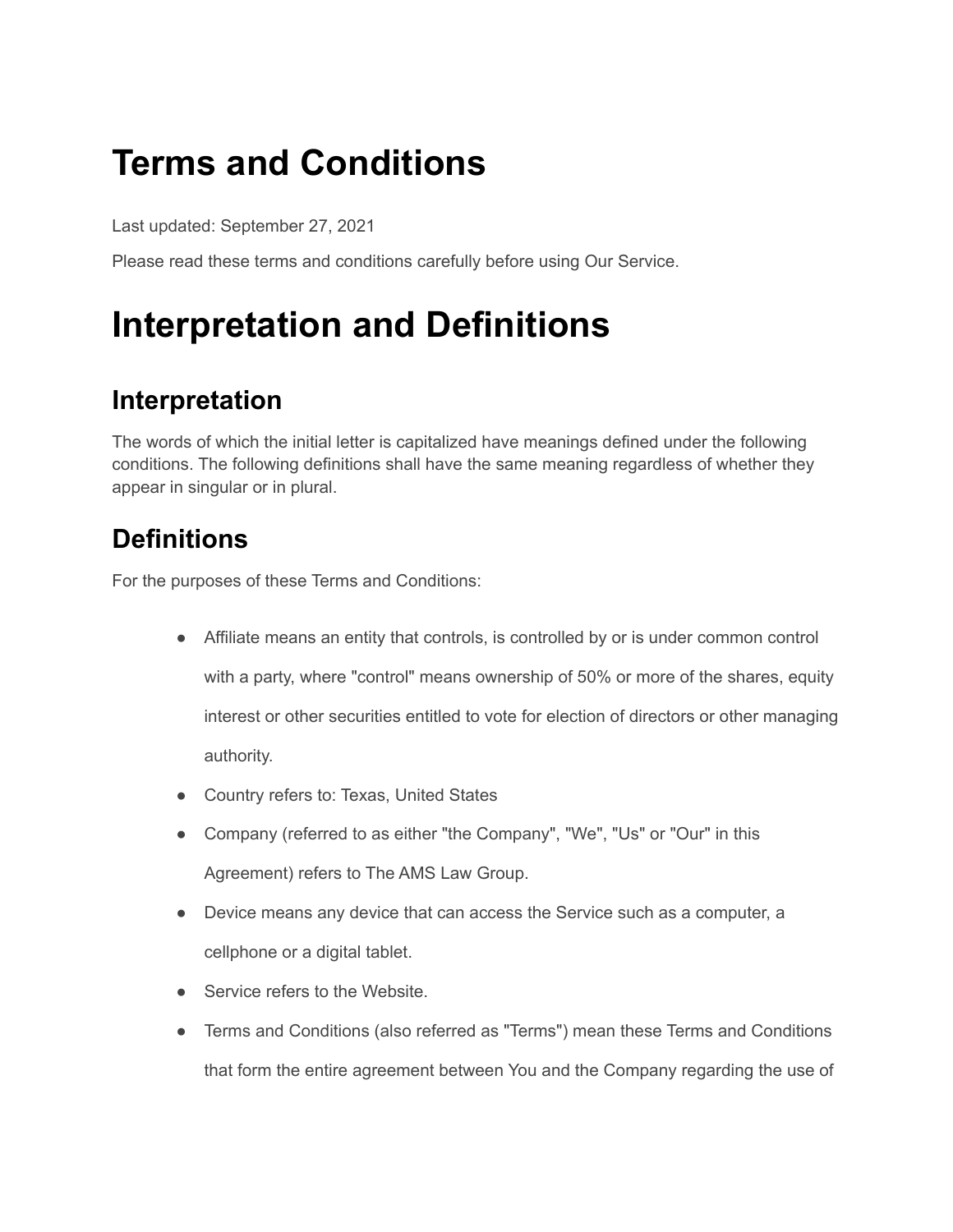#### **Terms and Conditions**

Last updated: September 27, 2021

Please read these terms and conditions carefully before using Our Service.

### **Interpretation and Definitions**

#### **Interpretation**

The words of which the initial letter is capitalized have meanings defined under the following conditions. The following definitions shall have the same meaning regardless of whether they appear in singular or in plural.

#### **Definitions**

For the purposes of these Terms and Conditions:

- Affiliate means an entity that controls, is controlled by or is under common control with a party, where "control" means ownership of 50% or more of the shares, equity interest or other securities entitled to vote for election of directors or other managing authority.
- Country refers to: Texas, United States
- Company (referred to as either "the Company", "We", "Us" or "Our" in this Agreement) refers to The AMS Law Group.
- Device means any device that can access the Service such as a computer, a cellphone or a digital tablet.
- Service refers to the Website.
- Terms and Conditions (also referred as "Terms") mean these Terms and Conditions that form the entire agreement between You and the Company regarding the use of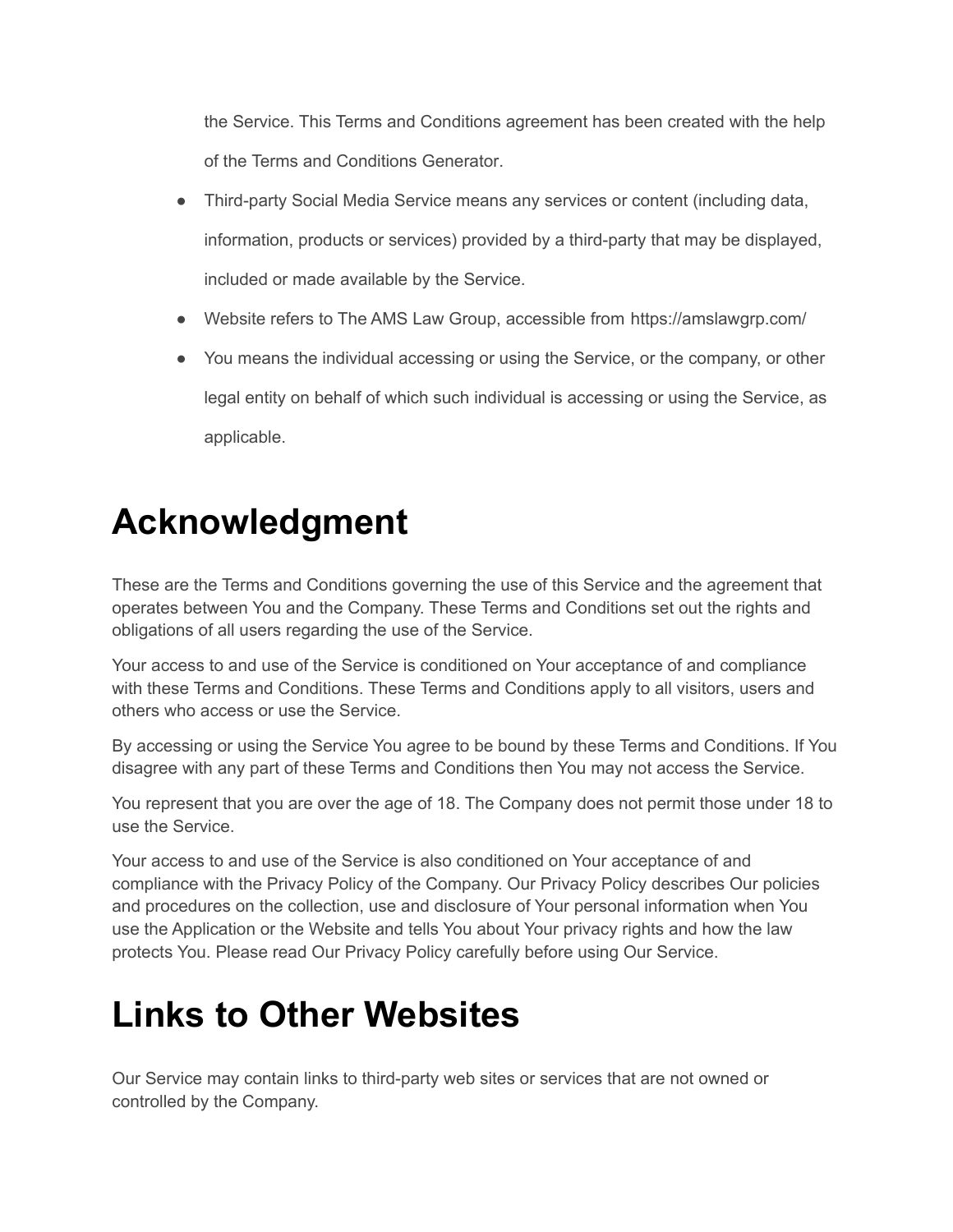the Service. This Terms and Conditions agreement has been created with the help of the Terms and [Conditions](https://www.termsfeed.com/terms-conditions-generator/) Generator.

- Third-party Social Media Service means any services or content (including data, information, products or services) provided by a third-party that may be displayed, included or made available by the Service.
- Website refers to The AMS Law Group, accessible from <https://amslawgrp.com/>
- You means the individual accessing or using the Service, or the company, or other legal entity on behalf of which such individual is accessing or using the Service, as applicable.

#### **Acknowledgment**

These are the Terms and Conditions governing the use of this Service and the agreement that operates between You and the Company. These Terms and Conditions set out the rights and obligations of all users regarding the use of the Service.

Your access to and use of the Service is conditioned on Your acceptance of and compliance with these Terms and Conditions. These Terms and Conditions apply to all visitors, users and others who access or use the Service.

By accessing or using the Service You agree to be bound by these Terms and Conditions. If You disagree with any part of these Terms and Conditions then You may not access the Service.

You represent that you are over the age of 18. The Company does not permit those under 18 to use the Service.

Your access to and use of the Service is also conditioned on Your acceptance of and compliance with the Privacy Policy of the Company. Our Privacy Policy describes Our policies and procedures on the collection, use and disclosure of Your personal information when You use the Application or the Website and tells You about Your privacy rights and how the law protects You. Please read Our Privacy Policy carefully before using Our Service.

#### **Links to Other Websites**

Our Service may contain links to third-party web sites or services that are not owned or controlled by the Company.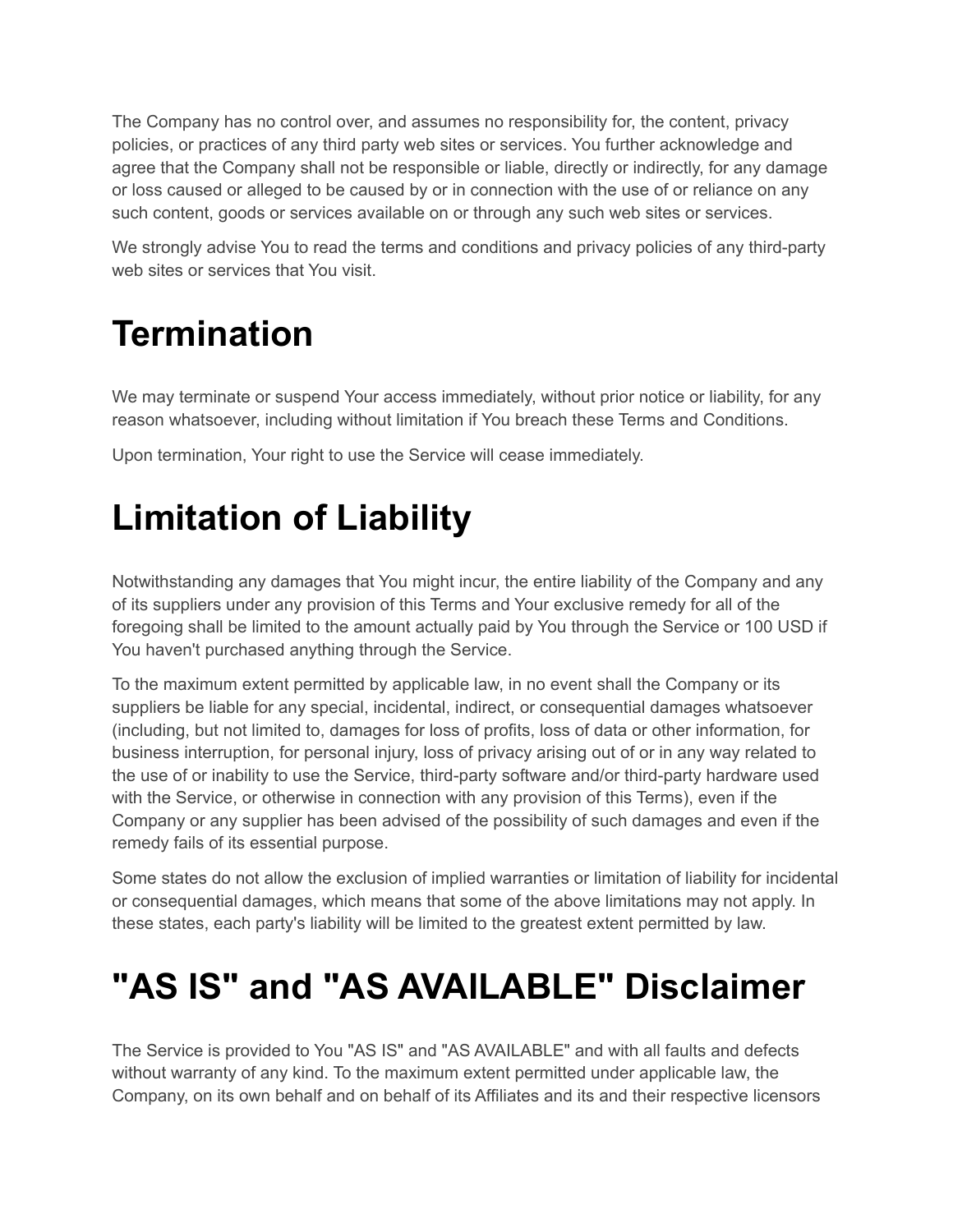The Company has no control over, and assumes no responsibility for, the content, privacy policies, or practices of any third party web sites or services. You further acknowledge and agree that the Company shall not be responsible or liable, directly or indirectly, for any damage or loss caused or alleged to be caused by or in connection with the use of or reliance on any such content, goods or services available on or through any such web sites or services.

We strongly advise You to read the terms and conditions and privacy policies of any third-party web sites or services that You visit.

## **Termination**

We may terminate or suspend Your access immediately, without prior notice or liability, for any reason whatsoever, including without limitation if You breach these Terms and Conditions.

Upon termination, Your right to use the Service will cease immediately.

## **Limitation of Liability**

Notwithstanding any damages that You might incur, the entire liability of the Company and any of its suppliers under any provision of this Terms and Your exclusive remedy for all of the foregoing shall be limited to the amount actually paid by You through the Service or 100 USD if You haven't purchased anything through the Service.

To the maximum extent permitted by applicable law, in no event shall the Company or its suppliers be liable for any special, incidental, indirect, or consequential damages whatsoever (including, but not limited to, damages for loss of profits, loss of data or other information, for business interruption, for personal injury, loss of privacy arising out of or in any way related to the use of or inability to use the Service, third-party software and/or third-party hardware used with the Service, or otherwise in connection with any provision of this Terms), even if the Company or any supplier has been advised of the possibility of such damages and even if the remedy fails of its essential purpose.

Some states do not allow the exclusion of implied warranties or limitation of liability for incidental or consequential damages, which means that some of the above limitations may not apply. In these states, each party's liability will be limited to the greatest extent permitted by law.

## **"AS IS" and "AS AVAILABLE" Disclaimer**

The Service is provided to You "AS IS" and "AS AVAILABLE" and with all faults and defects without warranty of any kind. To the maximum extent permitted under applicable law, the Company, on its own behalf and on behalf of its Affiliates and its and their respective licensors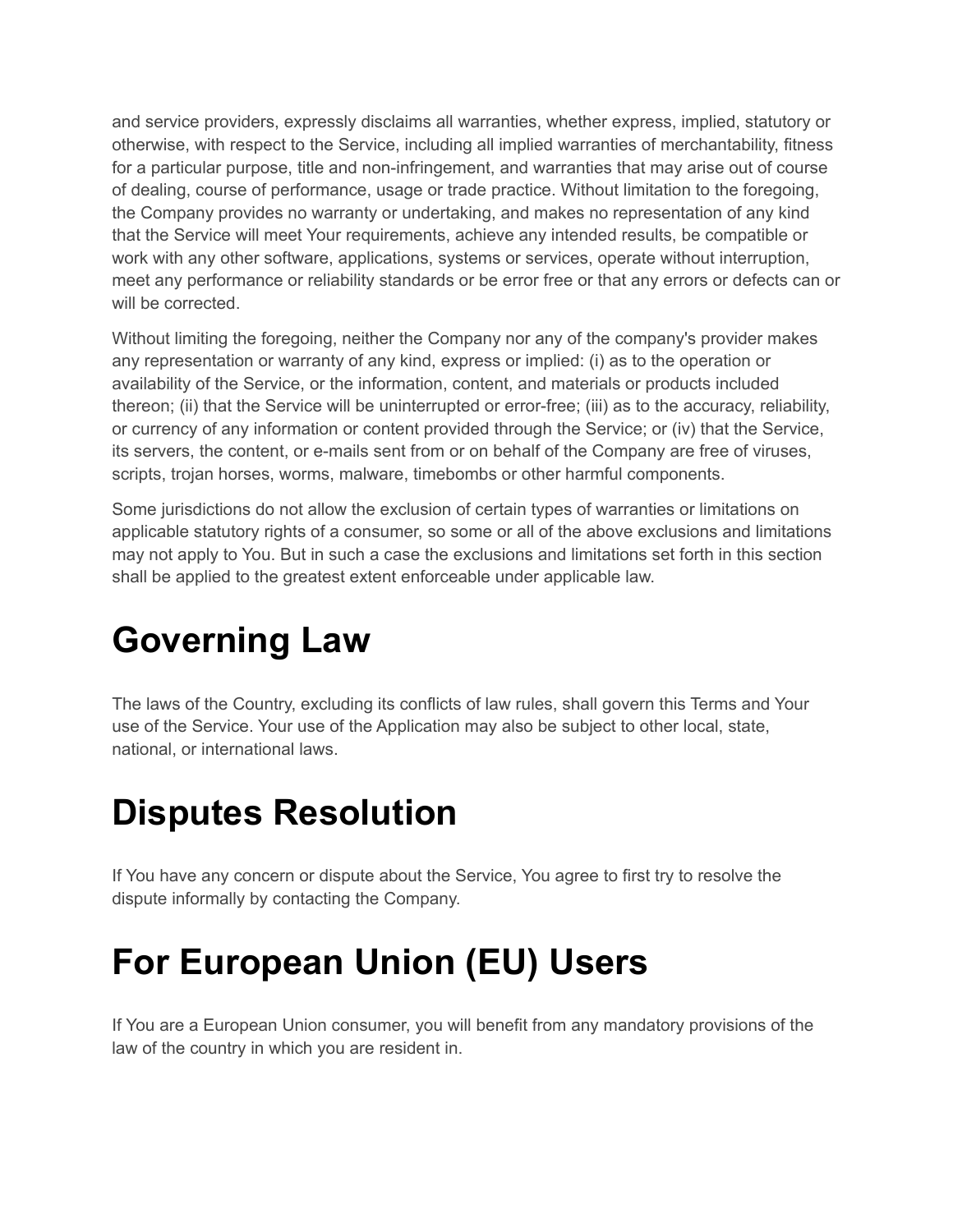and service providers, expressly disclaims all warranties, whether express, implied, statutory or otherwise, with respect to the Service, including all implied warranties of merchantability, fitness for a particular purpose, title and non-infringement, and warranties that may arise out of course of dealing, course of performance, usage or trade practice. Without limitation to the foregoing, the Company provides no warranty or undertaking, and makes no representation of any kind that the Service will meet Your requirements, achieve any intended results, be compatible or work with any other software, applications, systems or services, operate without interruption, meet any performance or reliability standards or be error free or that any errors or defects can or will be corrected.

Without limiting the foregoing, neither the Company nor any of the company's provider makes any representation or warranty of any kind, express or implied: (i) as to the operation or availability of the Service, or the information, content, and materials or products included thereon; (ii) that the Service will be uninterrupted or error-free; (iii) as to the accuracy, reliability, or currency of any information or content provided through the Service; or (iv) that the Service, its servers, the content, or e-mails sent from or on behalf of the Company are free of viruses, scripts, trojan horses, worms, malware, timebombs or other harmful components.

Some jurisdictions do not allow the exclusion of certain types of warranties or limitations on applicable statutory rights of a consumer, so some or all of the above exclusions and limitations may not apply to You. But in such a case the exclusions and limitations set forth in this section shall be applied to the greatest extent enforceable under applicable law.

## **Governing Law**

The laws of the Country, excluding its conflicts of law rules, shall govern this Terms and Your use of the Service. Your use of the Application may also be subject to other local, state, national, or international laws.

### **Disputes Resolution**

If You have any concern or dispute about the Service, You agree to first try to resolve the dispute informally by contacting the Company.

### **For European Union (EU) Users**

If You are a European Union consumer, you will benefit from any mandatory provisions of the law of the country in which you are resident in.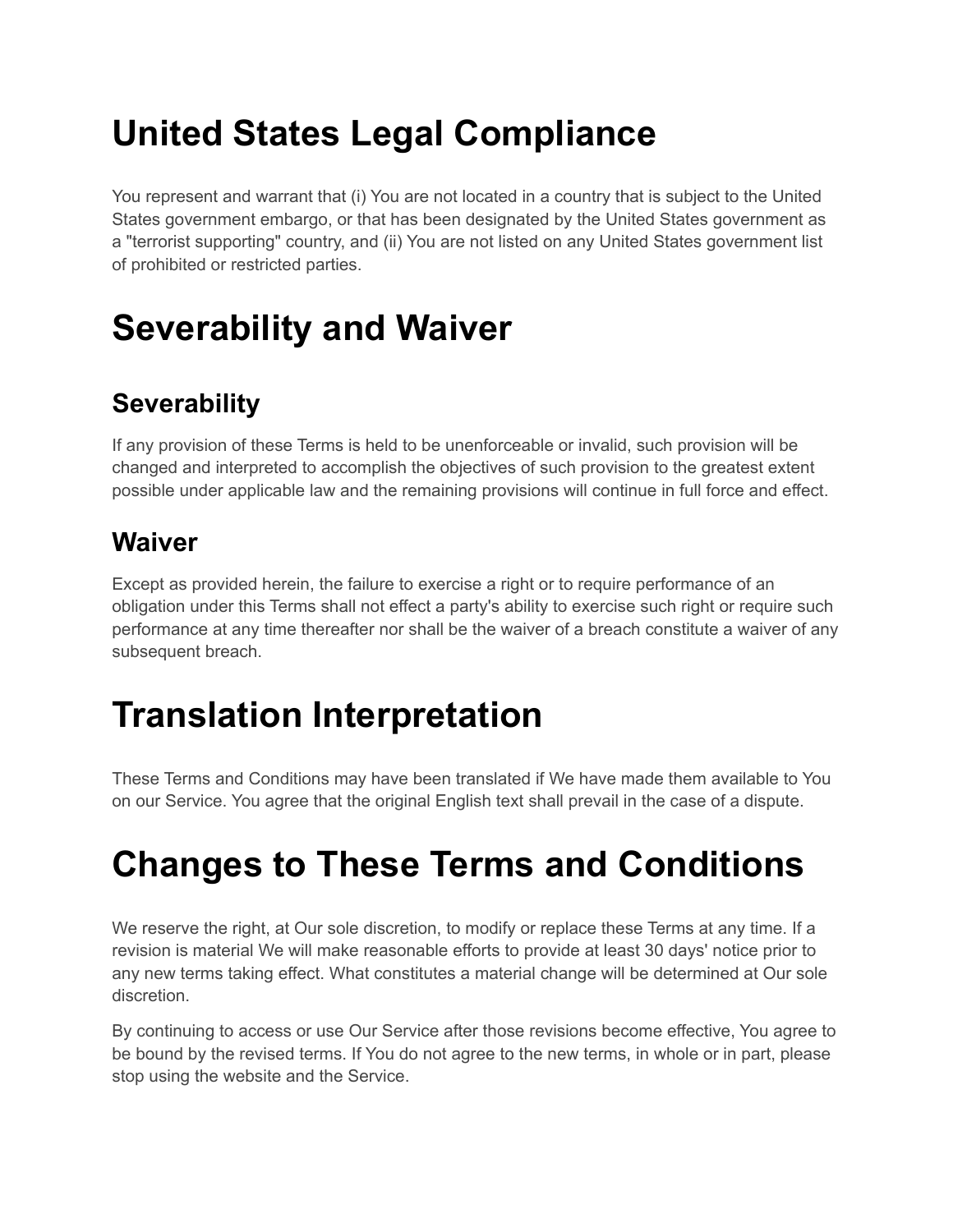## **United States Legal Compliance**

You represent and warrant that (i) You are not located in a country that is subject to the United States government embargo, or that has been designated by the United States government as a "terrorist supporting" country, and (ii) You are not listed on any United States government list of prohibited or restricted parties.

# **Severability and Waiver**

#### **Severability**

If any provision of these Terms is held to be unenforceable or invalid, such provision will be changed and interpreted to accomplish the objectives of such provision to the greatest extent possible under applicable law and the remaining provisions will continue in full force and effect.

#### **Waiver**

Except as provided herein, the failure to exercise a right or to require performance of an obligation under this Terms shall not effect a party's ability to exercise such right or require such performance at any time thereafter nor shall be the waiver of a breach constitute a waiver of any subsequent breach.

## **Translation Interpretation**

These Terms and Conditions may have been translated if We have made them available to You on our Service. You agree that the original English text shall prevail in the case of a dispute.

### **Changes to These Terms and Conditions**

We reserve the right, at Our sole discretion, to modify or replace these Terms at any time. If a revision is material We will make reasonable efforts to provide at least 30 days' notice prior to any new terms taking effect. What constitutes a material change will be determined at Our sole discretion.

By continuing to access or use Our Service after those revisions become effective, You agree to be bound by the revised terms. If You do not agree to the new terms, in whole or in part, please stop using the website and the Service.